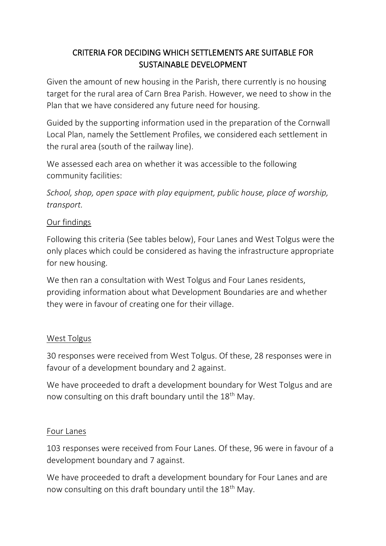# CRITERIA FOR DECIDING WHICH SETTLEMENTS ARE SUITABLE FOR SUSTAINABLE DEVELOPMENT

Given the amount of new housing in the Parish, there currently is no housing target for the rural area of Carn Brea Parish. However, we need to show in the Plan that we have considered any future need for housing.

Guided by the supporting information used in the preparation of the Cornwall Local Plan, namely the Settlement Profiles, we considered each settlement in the rural area (south of the railway line).

We assessed each area on whether it was accessible to the following community facilities:

*School, shop, open space with play equipment, public house, place of worship, transport.*

# Our findings

Following this criteria (See tables below), Four Lanes and West Tolgus were the only places which could be considered as having the infrastructure appropriate for new housing.

We then ran a consultation with West Tolgus and Four Lanes residents, providing information about what Development Boundaries are and whether they were in favour of creating one for their village.

# West Tolgus

30 responses were received from West Tolgus. Of these, 28 responses were in favour of a development boundary and 2 against.

We have proceeded to draft a development boundary for West Tolgus and are now consulting on this draft boundary until the 18<sup>th</sup> May.

# Four Lanes

103 responses were received from Four Lanes. Of these, 96 were in favour of a development boundary and 7 against.

We have proceeded to draft a development boundary for Four Lanes and are now consulting on this draft boundary until the 18<sup>th</sup> May.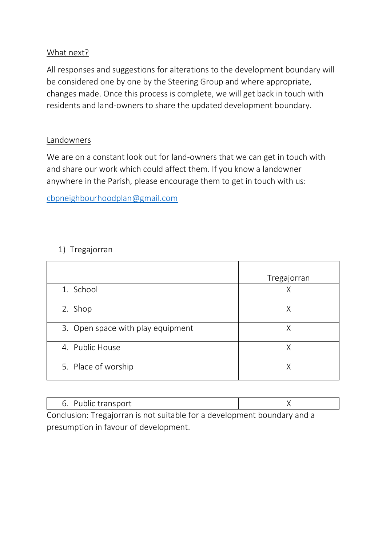### What next?

All responses and suggestions for alterations to the development boundary will be considered one by one by the Steering Group and where appropriate, changes made. Once this process is complete, we will get back in touch with residents and land-owners to share the updated development boundary.

### Landowners

We are on a constant look out for land-owners that we can get in touch with and share our work which could affect them. If you know a landowner anywhere in the Parish, please encourage them to get in touch with us:

[cbpneighbourhoodplan@gmail.com](mailto:cbpneighbourhoodplan@gmail.com)

### 1) Tregajorran

|                                   | Tregajorran |
|-----------------------------------|-------------|
| 1. School                         | Χ           |
| 2. Shop                           | Χ           |
| 3. Open space with play equipment | Χ           |
| 4. Public House                   | Χ           |
| 5. Place of worship               | Χ           |

| J. | ໋ | transport |  |   |  |  |  |  |  |
|----|---|-----------|--|---|--|--|--|--|--|
|    |   |           |  | . |  |  |  |  |  |

Conclusion: Tregajorran is not suitable for a development boundary and a presumption in favour of development.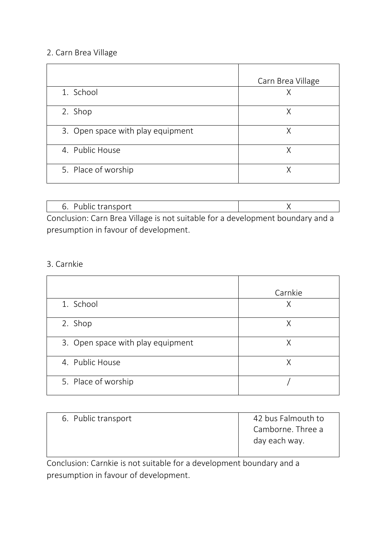## 2. Carn Brea Village

|                                   | Carn Brea Village |
|-----------------------------------|-------------------|
| 1. School                         |                   |
| 2. Shop                           | Χ                 |
| 3. Open space with play equipment | Χ                 |
| 4. Public House                   | Χ                 |
| 5. Place of worship               |                   |

|        | - Puhl<br>ublic transport |  |  |  |   |  |  |  |  |  |  |  |  |
|--------|---------------------------|--|--|--|---|--|--|--|--|--|--|--|--|
| $\sim$ |                           |  |  |  | . |  |  |  |  |  |  |  |  |

Conclusion: Carn Brea Village is not suitable for a development boundary and a presumption in favour of development.

## 3. Carnkie

|                                   | Carnkie |
|-----------------------------------|---------|
| 1. School                         | Χ       |
| 2. Shop                           |         |
| 3. Open space with play equipment | Χ       |
| 4. Public House                   | Χ       |
| 5. Place of worship               |         |

| 6. Public transport | 42 bus Falmouth to |
|---------------------|--------------------|
|                     | Camborne. Three a  |
|                     | day each way.      |
|                     |                    |

Conclusion: Carnkie is not suitable for a development boundary and a presumption in favour of development.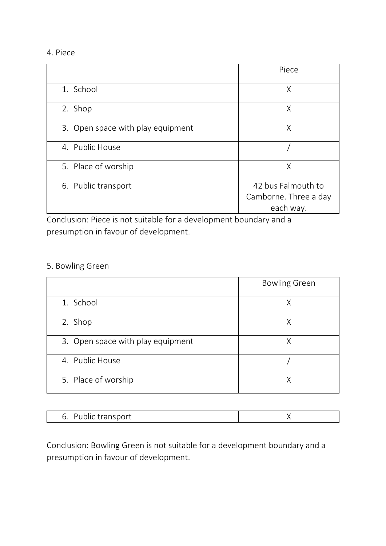#### 4. Piece

|                                   | Piece                 |
|-----------------------------------|-----------------------|
| 1. School                         | Χ                     |
| 2. Shop                           | Χ                     |
| 3. Open space with play equipment | Χ                     |
| 4. Public House                   |                       |
| 5. Place of worship               | X                     |
| 6. Public transport               | 42 bus Falmouth to    |
|                                   | Camborne. Three a day |
|                                   | each way.             |

Conclusion: Piece is not suitable for a development boundary and a presumption in favour of development.

#### 5. Bowling Green

|                                   | <b>Bowling Green</b> |
|-----------------------------------|----------------------|
| 1. School                         |                      |
| 2. Shop                           | Χ                    |
| 3. Open space with play equipment | χ                    |
| 4. Public House                   |                      |
| 5. Place of worship               |                      |

| $\mathsf{D}_1$<br>$\sqrt{2}$<br>∽<br>ายาย<br>ັ |  |
|------------------------------------------------|--|

Conclusion: Bowling Green is not suitable for a development boundary and a presumption in favour of development.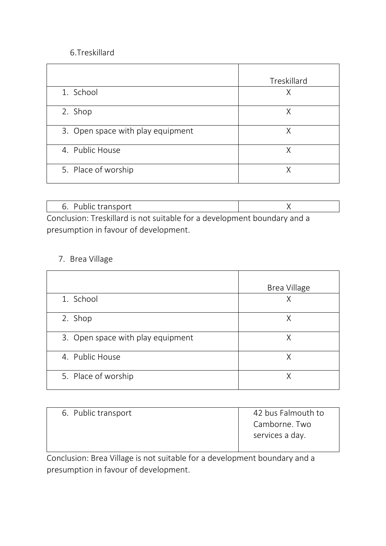### 6.Treskillard

|                                   | Treskillard |
|-----------------------------------|-------------|
| 1. School                         | Χ           |
| 2. Shop                           | Χ           |
| 3. Open space with play equipment | Χ           |
| 4. Public House                   | Χ           |
| 5. Place of worship               | Χ           |

|                          | transport<br>זוו<br>J.<br>. |  |                          |   |  |  |  |  |  |  |  |  |  |  |
|--------------------------|-----------------------------|--|--------------------------|---|--|--|--|--|--|--|--|--|--|--|
| $\overline{\phantom{0}}$ |                             |  | $\overline{\phantom{a}}$ | . |  |  |  |  |  |  |  |  |  |  |

Conclusion: Treskillard is not suitable for a development boundary and a presumption in favour of development.

# 7. Brea Village

|                                   | <b>Brea Village</b> |
|-----------------------------------|---------------------|
| 1. School                         | X                   |
| 2. Shop                           |                     |
| 3. Open space with play equipment | Χ                   |
| 4. Public House                   | Χ                   |
| 5. Place of worship               |                     |

| 6. Public transport | 42 bus Falmouth to |
|---------------------|--------------------|
|                     | Camborne. Two      |
|                     | services a day.    |
|                     |                    |

Conclusion: Brea Village is not suitable for a development boundary and a presumption in favour of development.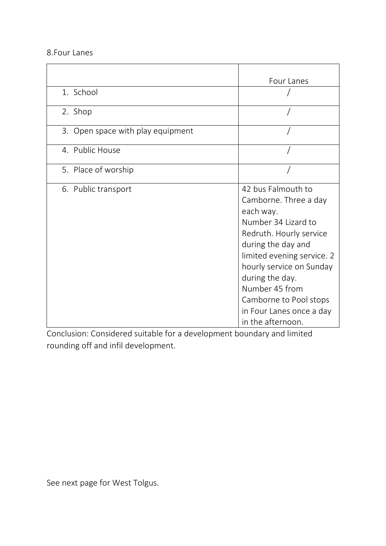#### 8.Four Lanes

|                                   | Four Lanes                                                                                                                                                                                                                                                                                                 |
|-----------------------------------|------------------------------------------------------------------------------------------------------------------------------------------------------------------------------------------------------------------------------------------------------------------------------------------------------------|
| 1. School                         |                                                                                                                                                                                                                                                                                                            |
| 2. Shop                           |                                                                                                                                                                                                                                                                                                            |
| 3. Open space with play equipment |                                                                                                                                                                                                                                                                                                            |
| 4. Public House                   |                                                                                                                                                                                                                                                                                                            |
| 5. Place of worship               |                                                                                                                                                                                                                                                                                                            |
| 6. Public transport               | 42 bus Falmouth to<br>Camborne. Three a day<br>each way.<br>Number 34 Lizard to<br>Redruth. Hourly service<br>during the day and<br>limited evening service. 2<br>hourly service on Sunday<br>during the day.<br>Number 45 from<br>Camborne to Pool stops<br>in Four Lanes once a day<br>in the afternoon. |

Conclusion: Considered suitable for a development boundary and limited rounding off and infil development.

See next page for West Tolgus.